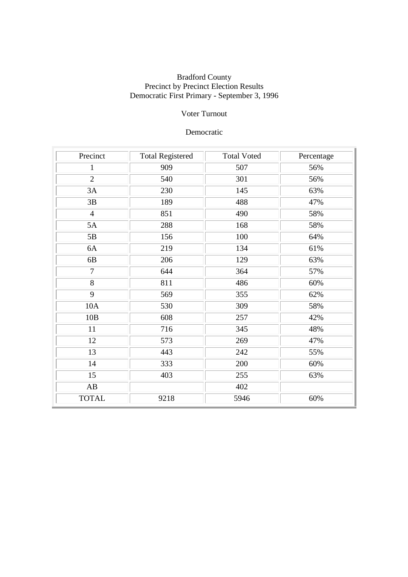## Voter Turnout

## Democratic

| Precinct       | <b>Total Registered</b> | <b>Total Voted</b> | Percentage |
|----------------|-------------------------|--------------------|------------|
| $\mathbf{1}$   | 909                     | 507                | 56%        |
| $\overline{2}$ | 540                     | 301                | 56%        |
| 3A             | 230                     | 145                | 63%        |
| 3B             | 189                     | 488                | 47%        |
| $\overline{4}$ | 851                     | 490                | 58%        |
| 5A             | 288                     | 168                | 58%        |
| 5B             | 156                     | 100                | 64%        |
| 6A             | 219                     | 134                | 61%        |
| 6B             | 206                     | 129                | 63%        |
| 7              | 644                     | 364                | 57%        |
| 8              | 811                     | 486                | 60%        |
| 9              | 569                     | 355                | 62%        |
| 10A            | 530                     | 309                | 58%        |
| 10B            | 608                     | 257                | 42%        |
| 11             | 716                     | 345                | 48%        |
| 12             | 573                     | 269                | 47%        |
| 13             | 443                     | 242                | 55%        |
| 14             | 333                     | 200                | 60%        |
| 15             | 403                     | 255                | 63%        |
| AB             |                         | 402                |            |
| <b>TOTAL</b>   | 9218                    | 5946               | 60%        |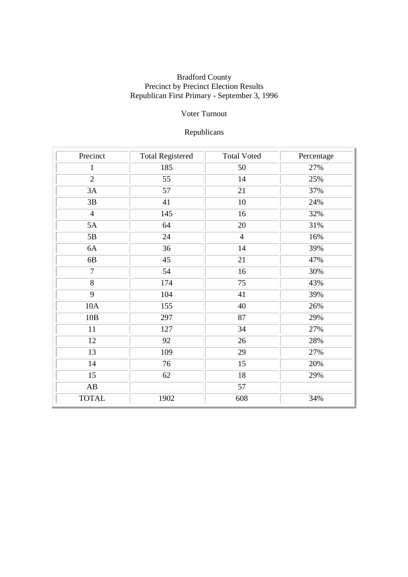## Voter Turnout

# Republicans

| Precinct               | <b>Total Registered</b> | <b>Total Voted</b> | Percentage |
|------------------------|-------------------------|--------------------|------------|
| $\mathbf{1}$           | 185                     | 50                 | 27%        |
| $\overline{2}$         | 55                      | 14                 | 25%        |
| 3A                     | 57                      | 21                 | 37%        |
| 3B                     | 41                      | 10                 | 24%        |
| $\overline{4}$         | 145                     | 16                 | 32%        |
| 5A                     | 64                      | 20                 | 31%        |
| 5B                     | 24                      | $\overline{4}$     | 16%        |
| 6A                     | 36                      | 14                 | 39%        |
| 6B                     | 45                      | 21                 | 47%        |
| 7                      | 54                      | 16                 | 30%        |
| 8                      | 174                     | 75                 | 43%        |
| 9                      | 104                     | 41                 | 39%        |
| 10A                    | 155                     | 40                 | 26%        |
| 10B                    | 297                     | 87                 | 29%        |
| 11                     | 127                     | 34                 | 27%        |
| 12                     | 92                      | $26\,$             | 28%        |
| 13                     | 109                     | 29                 | 27%        |
| 14                     | 76                      | 15                 | 20%        |
| 15                     | 62                      | 18                 | 29%        |
| $\mathbf{A}\mathbf{B}$ |                         | 57                 |            |
| <b>TOTAL</b>           | 1902                    | 608                | 34%        |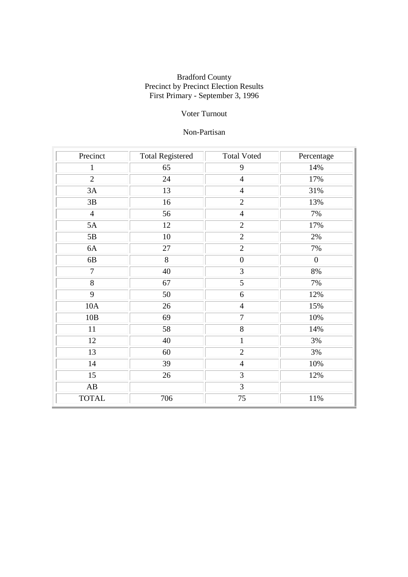## Voter Turnout

## Non-Partisan

| Precinct               | <b>Total Registered</b> | <b>Total Voted</b> | Percentage       |
|------------------------|-------------------------|--------------------|------------------|
| $\mathbf{1}$           | 65                      | 9                  | 14%              |
| $\overline{2}$         | 24                      | $\overline{4}$     | 17%              |
| 3A                     | 13                      | $\overline{4}$     | 31%              |
| $3\mathrm{B}$          | 16                      | $\overline{2}$     | 13%              |
| $\overline{4}$         | 56                      | $\overline{4}$     | 7%               |
| 5A                     | 12                      | $\overline{2}$     | 17%              |
| 5B                     | 10                      | $\overline{2}$     | 2%               |
| 6A                     | 27                      | $\overline{2}$     | 7%               |
| 6B                     | 8                       | $\boldsymbol{0}$   | $\boldsymbol{0}$ |
| $\tau$                 | 40                      | 3                  | 8%               |
| 8                      | 67                      | 5                  | 7%               |
| 9                      | 50                      | 6                  | 12%              |
| 10A                    | 26                      | $\overline{4}$     | 15%              |
| 10B                    | 69                      | $\overline{7}$     | 10%              |
| 11                     | 58                      | 8                  | 14%              |
| 12                     | 40                      | $\mathbf{1}$       | 3%               |
| 13                     | 60                      | $\overline{2}$     | 3%               |
| 14                     | $\overline{39}$         | $\overline{4}$     | 10%              |
| 15                     | 26                      | 3                  | 12%              |
| $\mathbf{A}\mathbf{B}$ |                         | 3                  |                  |
| <b>TOTAL</b>           | 706                     | 75                 | 11%              |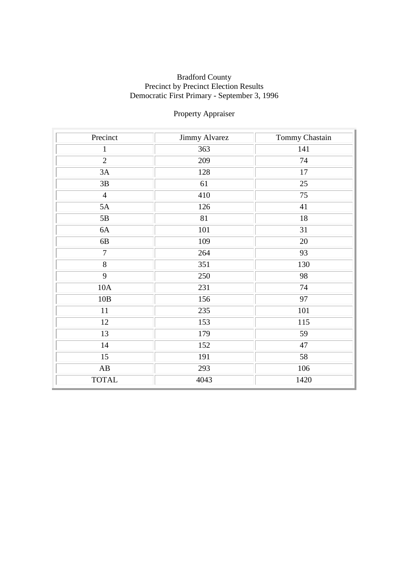# Property Appraiser

| Precinct               | Jimmy Alvarez | Tommy Chastain  |
|------------------------|---------------|-----------------|
| $\mathbf{1}$           | 363           | 141             |
| $\overline{2}$         | 209           | 74              |
| 3A                     | 128           | 17              |
| 3B                     | 61            | 25              |
| $\overline{4}$         | 410           | 75              |
| 5A                     | 126           | 41              |
| 5B                     | 81            | 18              |
| 6A                     | 101           | 31              |
| 6B                     | 109           | 20              |
| $\overline{7}$         | 264           | $\overline{93}$ |
| $\overline{8}$         | 351           | 130             |
| $\overline{9}$         | 250           | 98              |
| 10A                    | 231           | 74              |
| 10B                    | 156           | 97              |
| 11                     | 235           | 101             |
| 12                     | 153           | 115             |
| 13                     | 179           | 59              |
| 14                     | 152           | 47              |
| $\overline{15}$        | 191           | 58              |
| $\mathbf{A}\mathbf{B}$ | 293           | 106             |
| <b>TOTAL</b>           | 4043          | 1420            |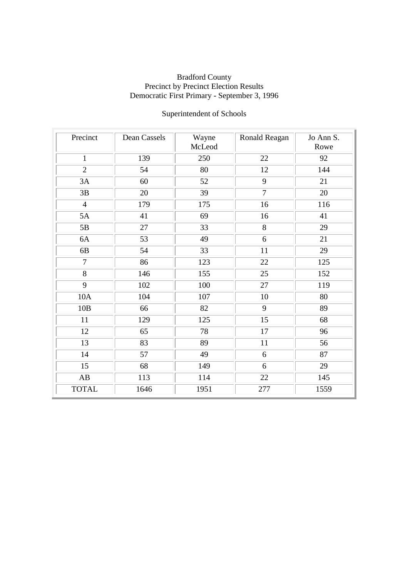# Superintendent of Schools

| Precinct        | Dean Cassels | Wayne<br>McLeod | Ronald Reagan  | Jo Ann S.<br>Rowe |
|-----------------|--------------|-----------------|----------------|-------------------|
| $\mathbf{1}$    | 139          | 250             | 22             | 92                |
| $\overline{2}$  | 54           | 80              | 12             | 144               |
| 3A              | 60           | 52              | 9              | 21                |
| 3B              | 20           | 39              | $\overline{7}$ | 20                |
| $\overline{4}$  | 179          | 175             | 16             | 116               |
| 5A              | 41           | 69              | 16             | 41                |
| 5B              | 27           | 33              | 8              | 29                |
| 6A              | 53           | 49              | 6              | 21                |
| 6B              | 54           | 33              | 11             | 29                |
| $\overline{7}$  | 86           | 123             | 22             | 125               |
| $\overline{8}$  | 146          | 155             | 25             | 152               |
| 9               | 102          | 100             | 27             | 119               |
| 10A             | 104          | 107             | 10             | 80                |
| 10B             | 66           | 82              | 9              | 89                |
| 11              | 129          | 125             | 15             | 68                |
| 12              | 65           | 78              | 17             | 96                |
| 13              | 83           | 89              | 11             | 56                |
| 14              | 57           | 49              | 6              | 87                |
| $\overline{15}$ | 68           | 149             | 6              | 29                |
| AB              | 113          | 114             | 22             | 145               |
| <b>TOTAL</b>    | 1646         | 1951            | 277            | 1559              |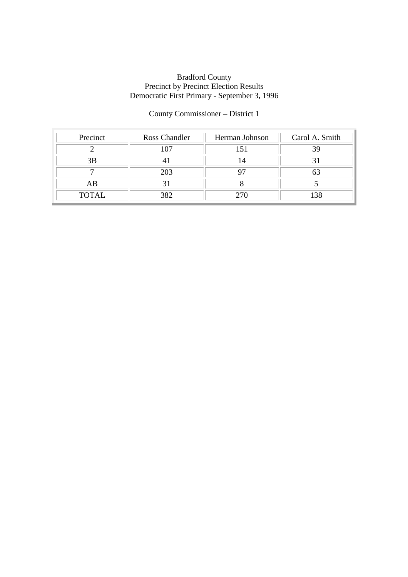## County Commissioner – District 1

| Precinct     | Ross Chandler | Herman Johnson | Carol A. Smith |
|--------------|---------------|----------------|----------------|
|              | 107           |                | 39             |
| 3B           |               |                |                |
|              | 203           |                |                |
| AB           |               |                |                |
| <b>TOTAL</b> | 382           | 270            |                |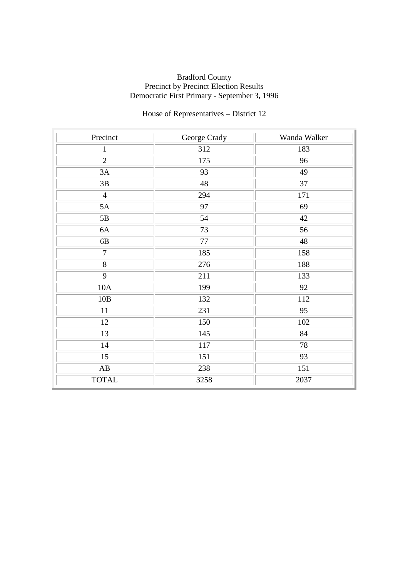# House of Representatives – District 12

| Precinct               | George Crady | Wanda Walker    |
|------------------------|--------------|-----------------|
| $\mathbf{1}$           | 312          | 183             |
| $\overline{2}$         | 175          | 96              |
| 3A                     | 93           | 49              |
| 3B                     | 48           | 37              |
| $\overline{4}$         | 294          | 171             |
| 5A                     | 97           | 69              |
| 5B                     | 54           | 42              |
| 6A                     | 73           | 56              |
| 6B                     | 77           | 48              |
| $\tau$                 | 185          | 158             |
| $\overline{8}$         | 276          | 188             |
| 9                      | 211          | 133             |
| 10A                    | 199          | 92              |
| 10B                    | 132          | 112             |
| 11                     | 231          | 95              |
| 12                     | 150          | 102             |
| 13                     | 145          | 84              |
| 14                     | 117          | 78              |
| 15                     | 151          | $\overline{93}$ |
| $\mathbf{A}\mathbf{B}$ | 238          | 151             |
| <b>TOTAL</b>           | 3258         | 2037            |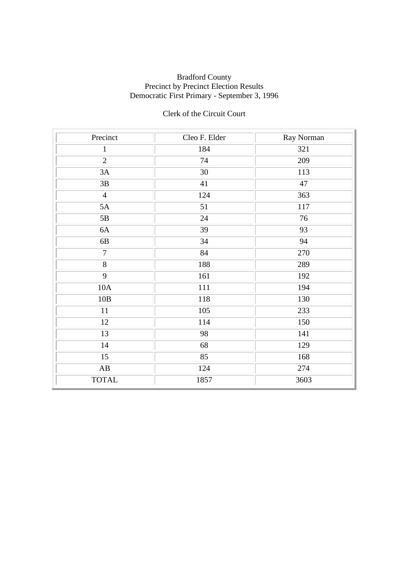## Clerk of the Circuit Court

| Precinct               | Cleo F. Elder | Ray Norman |
|------------------------|---------------|------------|
| $\mathbf{1}$           | 184           | 321        |
| $\overline{2}$         | 74            | 209        |
| 3A                     | 30            | 113        |
| 3B                     | 41            | 47         |
| $\overline{4}$         | 124           | 363        |
| 5A                     | 51            | 117        |
| 5B                     | 24            | 76         |
| 6A                     | 39            | 93         |
| 6B                     | 34            | 94         |
| $\overline{7}$         | 84            | 270        |
| $\overline{8}$         | 188           | 289        |
| 9                      | 161           | 192        |
| 10A                    | 111           | 194        |
| 10B                    | 118           | 130        |
| 11                     | 105           | 233        |
| 12                     | 114           | 150        |
| 13                     | 98            | 141        |
| 14                     | 68            | 129        |
| $\overline{15}$        | 85            | 168        |
| $\mathbf{A}\mathbf{B}$ | 124           | 274        |
| <b>TOTAL</b>           | 1857          | 3603       |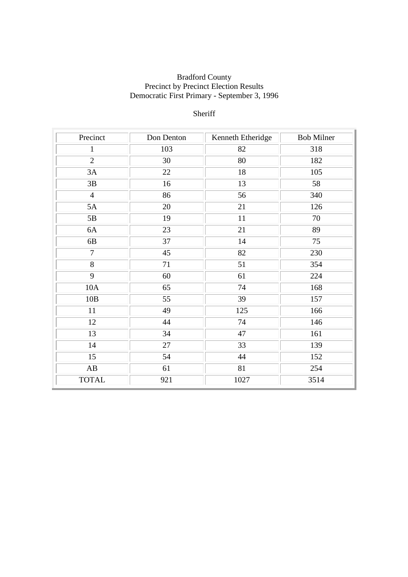## Sheriff

| Precinct       | Don Denton | Kenneth Etheridge | <b>Bob Milner</b> |
|----------------|------------|-------------------|-------------------|
| 1              | 103        | 82                | 318               |
| $\overline{2}$ | 30         | 80                | 182               |
| 3A             | 22         | 18                | 105               |
| 3B             | 16         | 13                | 58                |
| $\overline{4}$ | 86         | 56                | 340               |
| 5A             | 20         | 21                | 126               |
| 5B             | 19         | 11                | 70                |
| 6A             | 23         | 21                | 89                |
| 6B             | 37         | 14                | 75                |
| $\overline{7}$ | 45         | 82                | 230               |
| $\overline{8}$ | 71         | 51                | 354               |
| 9              | 60         | 61                | 224               |
| 10A            | 65         | 74                | 168               |
| 10B            | 55         | 39                | 157               |
| 11             | 49         | 125               | 166               |
| 12             | 44         | 74                | 146               |
| 13             | 34         | 47                | 161               |
| 14             | 27         | 33                | 139               |
| 15             | 54         | 44                | 152               |
| AB             | 61         | 81                | 254               |
| <b>TOTAL</b>   | 921        | 1027              | 3514              |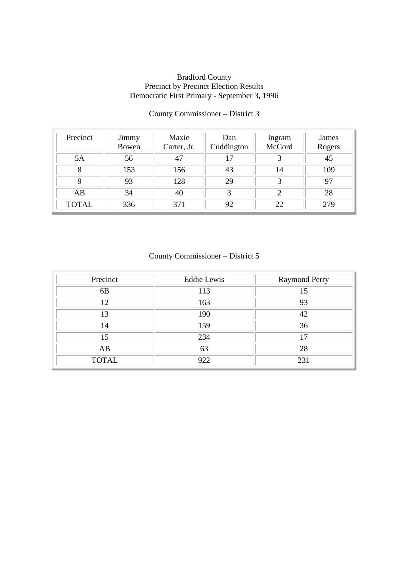| Precinct     | Jimmy<br>Bowen | Maxie<br>Carter, Jr. | Dan<br>Cuddington | Ingram<br>McCord | James<br>Rogers |
|--------------|----------------|----------------------|-------------------|------------------|-----------------|
| 5A           | 56             | 47                   | 17                | 3                | 45              |
| 8            | 153            | 156                  | 43                | 14               | 109             |
| 9            | 93             | 128                  | 29                | 3                | 97              |
| AB           | 34             | 40                   | 3                 | 2                | 28              |
| <b>TOTAL</b> | 336            | 371                  | 92                | 22               | 279             |

## County Commissioner – District 3

## County Commissioner – District 5

| Precinct       | <b>Eddie Lewis</b> | Raymond Perry |
|----------------|--------------------|---------------|
| 6 <sub>B</sub> | 113                | 15            |
| 12             | 163                | 93            |
| 13             | 190                | 42            |
| 14             | 159                | 36            |
| 15             | 234                | ۱7            |
| AB             | 63                 | 28            |
| <b>TOTAL</b>   | 922                | 231           |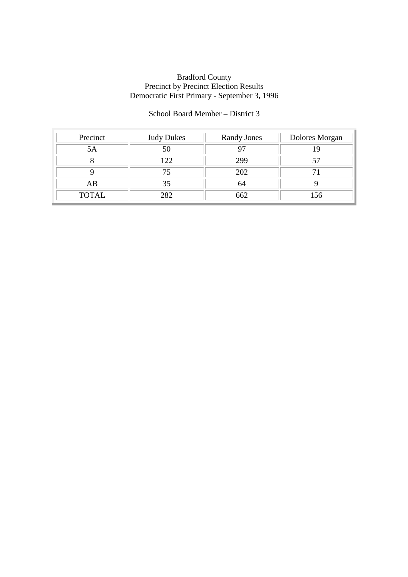## School Board Member – District 3

| Precinct     | <b>Judy Dukes</b> | <b>Randy Jones</b> | Dolores Morgan |
|--------------|-------------------|--------------------|----------------|
| 5Α           | 50                |                    |                |
|              | 122               | 299                |                |
|              | 75                | 202                |                |
| AB           | 35                | 64                 |                |
| <b>TOTAL</b> | 282               | 662                | 156            |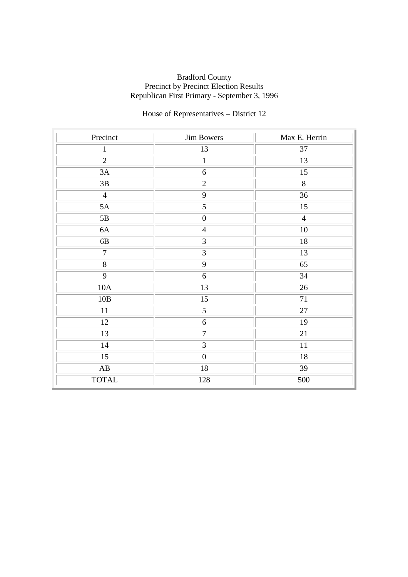# House of Representatives – District 12

| Precinct               | <b>Jim Bowers</b> | Max E. Herrin   |
|------------------------|-------------------|-----------------|
| $\mathbf{1}$           | 13                | 37              |
| $\overline{2}$         | $\mathbf{1}$      | 13              |
| 3A                     | 6                 | 15              |
| 3B                     | $\overline{2}$    | $\overline{8}$  |
| $\overline{4}$         | $\overline{9}$    | $\overline{36}$ |
| 5A                     | $\overline{5}$    | 15              |
| 5B                     | $\boldsymbol{0}$  | $\overline{4}$  |
| 6A                     | $\overline{4}$    | $10\,$          |
| 6B                     | 3                 | 18              |
| $\overline{7}$         | $\overline{3}$    | 13              |
| $\overline{8}$         | $\overline{9}$    | 65              |
| $\overline{9}$         | $6\,$             | 34              |
| 10A                    | 13                | 26              |
| $10B$                  | 15                | 71              |
| 11                     | 5                 | 27              |
| 12                     | $6\,$             | 19              |
| 13                     | $\overline{7}$    | 21              |
| 14                     | $\overline{3}$    | 11              |
| $\overline{15}$        | $\overline{0}$    | $\overline{18}$ |
| $\mathbf{A}\mathbf{B}$ | $18\,$            | 39              |
| <b>TOTAL</b>           | 128               | 500             |